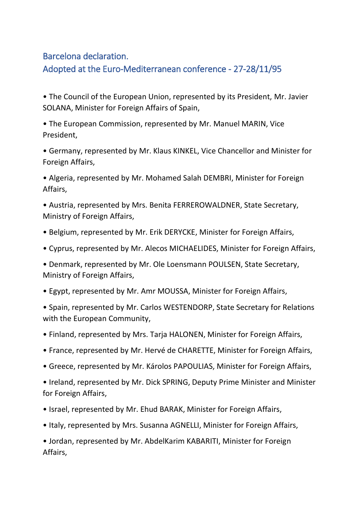## Barcelona declaration.

# Adopted at the Euro-Mediterranean conference - 27-28/11/95

• The Council of the European Union, represented by its President, Mr. Javier SOLANA, Minister for Foreign Affairs of Spain,

• The European Commission, represented by Mr. Manuel MARIN, Vice President,

• Germany, represented by Mr. Klaus KINKEL, Vice Chancellor and Minister for Foreign Affairs,

• Algeria, represented by Mr. Mohamed Salah DEMBRI, Minister for Foreign Affairs,

• Austria, represented by Mrs. Benita FERREROWALDNER, State Secretary, Ministry of Foreign Affairs,

- Belgium, represented by Mr. Erik DERYCKE, Minister for Foreign Affairs,
- Cyprus, represented by Mr. Alecos MICHAELIDES, Minister for Foreign Affairs,

• Denmark, represented by Mr. Ole Loensmann POULSEN, State Secretary, Ministry of Foreign Affairs,

- Egypt, represented by Mr. Amr MOUSSA, Minister for Foreign Affairs,
- Spain, represented by Mr. Carlos WESTENDORP, State Secretary for Relations with the European Community,
- Finland, represented by Mrs. Tarja HALONEN, Minister for Foreign Affairs,
- France, represented by Mr. Hervé de CHARETTE, Minister for Foreign Affairs,
- Greece, represented by Mr. Károlos PAPOULIAS, Minister for Foreign Affairs,

• Ireland, represented by Mr. Dick SPRING, Deputy Prime Minister and Minister for Foreign Affairs,

- Israel, represented by Mr. Ehud BARAK, Minister for Foreign Affairs,
- Italy, represented by Mrs. Susanna AGNELLI, Minister for Foreign Affairs,

• Jordan, represented by Mr. AbdelKarim KABARITI, Minister for Foreign Affairs,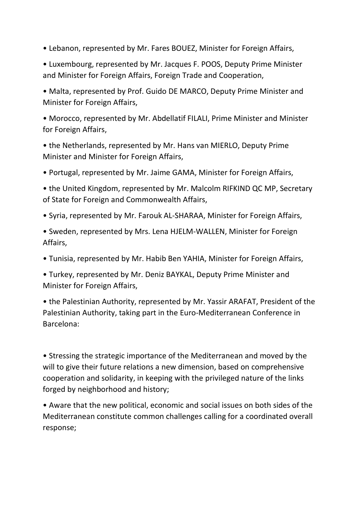• Lebanon, represented by Mr. Fares BOUEZ, Minister for Foreign Affairs,

• Luxembourg, represented by Mr. Jacques F. POOS, Deputy Prime Minister and Minister for Foreign Affairs, Foreign Trade and Cooperation,

• Malta, represented by Prof. Guido DE MARCO, Deputy Prime Minister and Minister for Foreign Affairs,

• Morocco, represented by Mr. Abdellatif FILALI, Prime Minister and Minister for Foreign Affairs,

• the Netherlands, represented by Mr. Hans van MIERLO, Deputy Prime Minister and Minister for Foreign Affairs,

• Portugal, represented by Mr. Jaime GAMA, Minister for Foreign Affairs,

• the United Kingdom, represented by Mr. Malcolm RIFKIND QC MP, Secretary of State for Foreign and Commonwealth Affairs,

• Syria, represented by Mr. Farouk AL-SHARAA, Minister for Foreign Affairs,

• Sweden, represented by Mrs. Lena HJELM-WALLEN, Minister for Foreign Affairs,

• Tunisia, represented by Mr. Habib Ben YAHIA, Minister for Foreign Affairs,

• Turkey, represented by Mr. Deniz BAYKAL, Deputy Prime Minister and Minister for Foreign Affairs,

• the Palestinian Authority, represented by Mr. Yassir ARAFAT, President of the Palestinian Authority, taking part in the Euro-Mediterranean Conference in Barcelona:

• Stressing the strategic importance of the Mediterranean and moved by the will to give their future relations a new dimension, based on comprehensive cooperation and solidarity, in keeping with the privileged nature of the links forged by neighborhood and history;

• Aware that the new political, economic and social issues on both sides of the Mediterranean constitute common challenges calling for a coordinated overall response;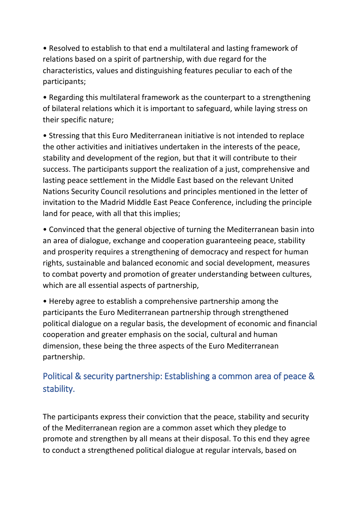• Resolved to establish to that end a multilateral and lasting framework of relations based on a spirit of partnership, with due regard for the characteristics, values and distinguishing features peculiar to each of the participants;

• Regarding this multilateral framework as the counterpart to a strengthening of bilateral relations which it is important to safeguard, while laying stress on their specific nature;

• Stressing that this Euro Mediterranean initiative is not intended to replace the other activities and initiatives undertaken in the interests of the peace, stability and development of the region, but that it will contribute to their success. The participants support the realization of a just, comprehensive and lasting peace settlement in the Middle East based on the relevant United Nations Security Council resolutions and principles mentioned in the letter of invitation to the Madrid Middle East Peace Conference, including the principle land for peace, with all that this implies;

• Convinced that the general objective of turning the Mediterranean basin into an area of dialogue, exchange and cooperation guaranteeing peace, stability and prosperity requires a strengthening of democracy and respect for human rights, sustainable and balanced economic and social development, measures to combat poverty and promotion of greater understanding between cultures, which are all essential aspects of partnership,

• Hereby agree to establish a comprehensive partnership among the participants the Euro Mediterranean partnership through strengthened political dialogue on a regular basis, the development of economic and financial cooperation and greater emphasis on the social, cultural and human dimension, these being the three aspects of the Euro Mediterranean partnership.

# Political & security partnership: Establishing a common area of peace & stability.

The participants express their conviction that the peace, stability and security of the Mediterranean region are a common asset which they pledge to promote and strengthen by all means at their disposal. To this end they agree to conduct a strengthened political dialogue at regular intervals, based on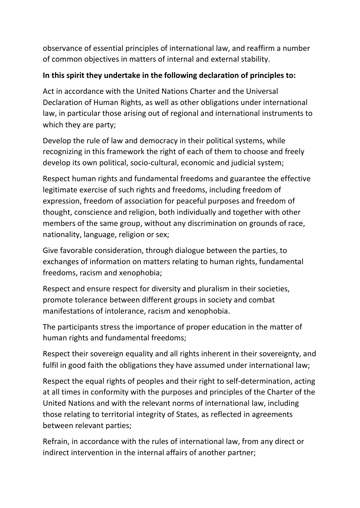observance of essential principles of international law, and reaffirm a number of common objectives in matters of internal and external stability.

## **In this spirit they undertake in the following declaration of principles to:**

Act in accordance with the United Nations Charter and the Universal Declaration of Human Rights, as well as other obligations under international law, in particular those arising out of regional and international instruments to which they are party;

Develop the rule of law and democracy in their political systems, while recognizing in this framework the right of each of them to choose and freely develop its own political, socio-cultural, economic and judicial system;

Respect human rights and fundamental freedoms and guarantee the effective legitimate exercise of such rights and freedoms, including freedom of expression, freedom of association for peaceful purposes and freedom of thought, conscience and religion, both individually and together with other members of the same group, without any discrimination on grounds of race, nationality, language, religion or sex;

Give favorable consideration, through dialogue between the parties, to exchanges of information on matters relating to human rights, fundamental freedoms, racism and xenophobia;

Respect and ensure respect for diversity and pluralism in their societies, promote tolerance between different groups in society and combat manifestations of intolerance, racism and xenophobia.

The participants stress the importance of proper education in the matter of human rights and fundamental freedoms;

Respect their sovereign equality and all rights inherent in their sovereignty, and fulfil in good faith the obligations they have assumed under international law;

Respect the equal rights of peoples and their right to self-determination, acting at all times in conformity with the purposes and principles of the Charter of the United Nations and with the relevant norms of international law, including those relating to territorial integrity of States, as reflected in agreements between relevant parties;

Refrain, in accordance with the rules of international law, from any direct or indirect intervention in the internal affairs of another partner;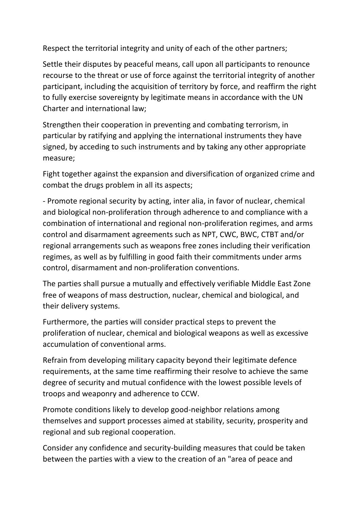Respect the territorial integrity and unity of each of the other partners;

Settle their disputes by peaceful means, call upon all participants to renounce recourse to the threat or use of force against the territorial integrity of another participant, including the acquisition of territory by force, and reaffirm the right to fully exercise sovereignty by legitimate means in accordance with the UN Charter and international law;

Strengthen their cooperation in preventing and combating terrorism, in particular by ratifying and applying the international instruments they have signed, by acceding to such instruments and by taking any other appropriate measure;

Fight together against the expansion and diversification of organized crime and combat the drugs problem in all its aspects;

- Promote regional security by acting, inter alia, in favor of nuclear, chemical and biological non-proliferation through adherence to and compliance with a combination of international and regional non-proliferation regimes, and arms control and disarmament agreements such as NPT, CWC, BWC, CTBT and/or regional arrangements such as weapons free zones including their verification regimes, as well as by fulfilling in good faith their commitments under arms control, disarmament and non-proliferation conventions.

The parties shall pursue a mutually and effectively verifiable Middle East Zone free of weapons of mass destruction, nuclear, chemical and biological, and their delivery systems.

Furthermore, the parties will consider practical steps to prevent the proliferation of nuclear, chemical and biological weapons as well as excessive accumulation of conventional arms.

Refrain from developing military capacity beyond their legitimate defence requirements, at the same time reaffirming their resolve to achieve the same degree of security and mutual confidence with the lowest possible levels of troops and weaponry and adherence to CCW.

Promote conditions likely to develop good-neighbor relations among themselves and support processes aimed at stability, security, prosperity and regional and sub regional cooperation.

Consider any confidence and security-building measures that could be taken between the parties with a view to the creation of an "area of peace and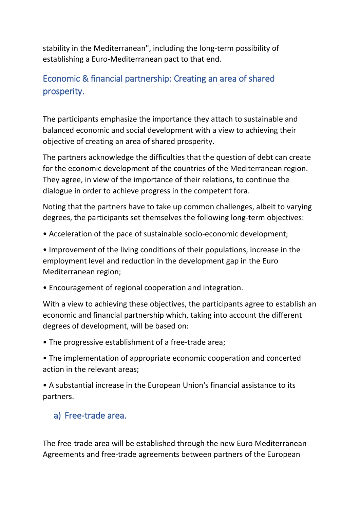stability in the Mediterranean", including the long-term possibility of establishing a Euro-Mediterranean pact to that end.

# Economic & financial partnership: Creating an area of shared prosperity.

The participants emphasize the importance they attach to sustainable and balanced economic and social development with a view to achieving their objective of creating an area of shared prosperity.

The partners acknowledge the difficulties that the question of debt can create for the economic development of the countries of the Mediterranean region. They agree, in view of the importance of their relations, to continue the dialogue in order to achieve progress in the competent fora.

Noting that the partners have to take up common challenges, albeit to varying degrees, the participants set themselves the following long-term objectives:

• Acceleration of the pace of sustainable socio-economic development;

• Improvement of the living conditions of their populations, increase in the employment level and reduction in the development gap in the Euro Mediterranean region;

• Encouragement of regional cooperation and integration.

With a view to achieving these objectives, the participants agree to establish an economic and financial partnership which, taking into account the different degrees of development, will be based on:

• The progressive establishment of a free-trade area;

• The implementation of appropriate economic cooperation and concerted action in the relevant areas;

• A substantial increase in the European Union's financial assistance to its partners.

## a) Free-trade area.

The free-trade area will be established through the new Euro Mediterranean Agreements and free-trade agreements between partners of the European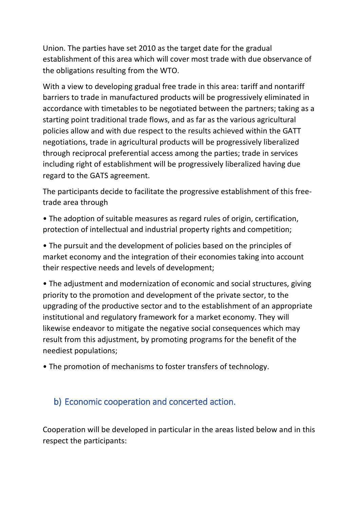Union. The parties have set 2010 as the target date for the gradual establishment of this area which will cover most trade with due observance of the obligations resulting from the WTO.

With a view to developing gradual free trade in this area: tariff and nontariff barriers to trade in manufactured products will be progressively eliminated in accordance with timetables to be negotiated between the partners; taking as a starting point traditional trade flows, and as far as the various agricultural policies allow and with due respect to the results achieved within the GATT negotiations, trade in agricultural products will be progressively liberalized through reciprocal preferential access among the parties; trade in services including right of establishment will be progressively liberalized having due regard to the GATS agreement.

The participants decide to facilitate the progressive establishment of this freetrade area through

• The adoption of suitable measures as regard rules of origin, certification, protection of intellectual and industrial property rights and competition;

• The pursuit and the development of policies based on the principles of market economy and the integration of their economies taking into account their respective needs and levels of development;

• The adjustment and modernization of economic and social structures, giving priority to the promotion and development of the private sector, to the upgrading of the productive sector and to the establishment of an appropriate institutional and regulatory framework for a market economy. They will likewise endeavor to mitigate the negative social consequences which may result from this adjustment, by promoting programs for the benefit of the neediest populations;

• The promotion of mechanisms to foster transfers of technology.

## b) Economic cooperation and concerted action.

Cooperation will be developed in particular in the areas listed below and in this respect the participants: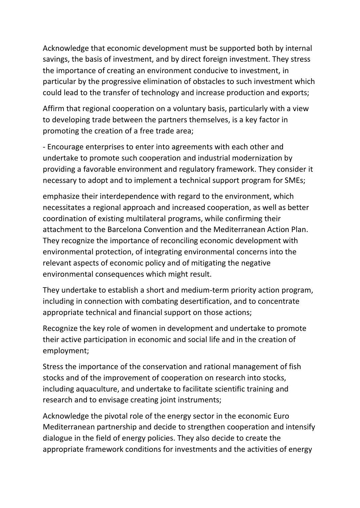Acknowledge that economic development must be supported both by internal savings, the basis of investment, and by direct foreign investment. They stress the importance of creating an environment conducive to investment, in particular by the progressive elimination of obstacles to such investment which could lead to the transfer of technology and increase production and exports;

Affirm that regional cooperation on a voluntary basis, particularly with a view to developing trade between the partners themselves, is a key factor in promoting the creation of a free trade area;

- Encourage enterprises to enter into agreements with each other and undertake to promote such cooperation and industrial modernization by providing a favorable environment and regulatory framework. They consider it necessary to adopt and to implement a technical support program for SMEs;

emphasize their interdependence with regard to the environment, which necessitates a regional approach and increased cooperation, as well as better coordination of existing multilateral programs, while confirming their attachment to the Barcelona Convention and the Mediterranean Action Plan. They recognize the importance of reconciling economic development with environmental protection, of integrating environmental concerns into the relevant aspects of economic policy and of mitigating the negative environmental consequences which might result.

They undertake to establish a short and medium-term priority action program, including in connection with combating desertification, and to concentrate appropriate technical and financial support on those actions;

Recognize the key role of women in development and undertake to promote their active participation in economic and social life and in the creation of employment;

Stress the importance of the conservation and rational management of fish stocks and of the improvement of cooperation on research into stocks, including aquaculture, and undertake to facilitate scientific training and research and to envisage creating joint instruments;

Acknowledge the pivotal role of the energy sector in the economic Euro Mediterranean partnership and decide to strengthen cooperation and intensify dialogue in the field of energy policies. They also decide to create the appropriate framework conditions for investments and the activities of energy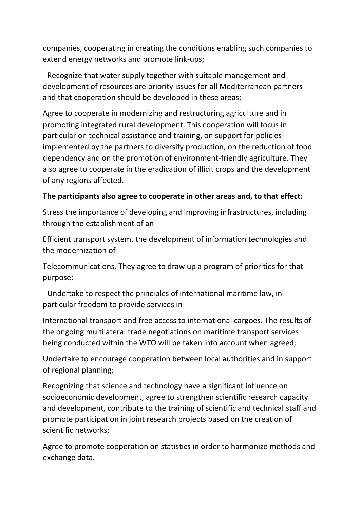companies, cooperating in creating the conditions enabling such companies to extend energy networks and promote link-ups;

- Recognize that water supply together with suitable management and development of resources are priority issues for all Mediterranean partners and that cooperation should be developed in these areas;

Agree to cooperate in modernizing and restructuring agriculture and in promoting integrated rural development. This cooperation will focus in particular on technical assistance and training, on support for policies implemented by the partners to diversify production, on the reduction of food dependency and on the promotion of environment-friendly agriculture. They also agree to cooperate in the eradication of illicit crops and the development of any regions affected.

#### **The participants also agree to cooperate in other areas and, to that effect:**

Stress the importance of developing and improving infrastructures, including through the establishment of an

Efficient transport system, the development of information technologies and the modernization of

Telecommunications. They agree to draw up a program of priorities for that purpose;

- Undertake to respect the principles of international maritime law, in particular freedom to provide services in

International transport and free access to international cargoes. The results of the ongoing multilateral trade negotiations on maritime transport services being conducted within the WTO will be taken into account when agreed;

Undertake to encourage cooperation between local authorities and in support of regional planning;

Recognizing that science and technology have a significant influence on socioeconomic development, agree to strengthen scientific research capacity and development, contribute to the training of scientific and technical staff and promote participation in joint research projects based on the creation of scientific networks;

Agree to promote cooperation on statistics in order to harmonize methods and exchange data.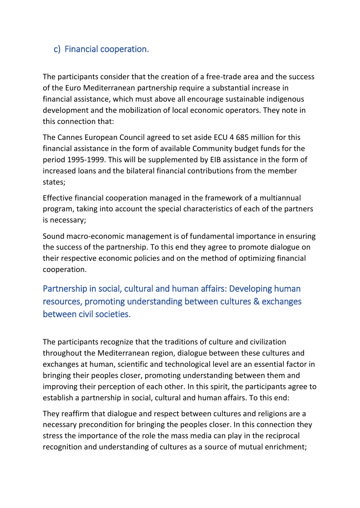## c) Financial cooperation.

The participants consider that the creation of a free-trade area and the success of the Euro Mediterranean partnership require a substantial increase in financial assistance, which must above all encourage sustainable indigenous development and the mobilization of local economic operators. They note in this connection that:

The Cannes European Council agreed to set aside ECU 4 685 million for this financial assistance in the form of available Community budget funds for the period 1995-1999. This will be supplemented by EIB assistance in the form of increased loans and the bilateral financial contributions from the member states;

Effective financial cooperation managed in the framework of a multiannual program, taking into account the special characteristics of each of the partners is necessary;

Sound macro-economic management is of fundamental importance in ensuring the success of the partnership. To this end they agree to promote dialogue on their respective economic policies and on the method of optimizing financial cooperation.

Partnership in social, cultural and human affairs: Developing human resources, promoting understanding between cultures & exchanges between civil societies.

The participants recognize that the traditions of culture and civilization throughout the Mediterranean region, dialogue between these cultures and exchanges at human, scientific and technological level are an essential factor in bringing their peoples closer, promoting understanding between them and improving their perception of each other. In this spirit, the participants agree to establish a partnership in social, cultural and human affairs. To this end:

They reaffirm that dialogue and respect between cultures and religions are a necessary precondition for bringing the peoples closer. In this connection they stress the importance of the role the mass media can play in the reciprocal recognition and understanding of cultures as a source of mutual enrichment;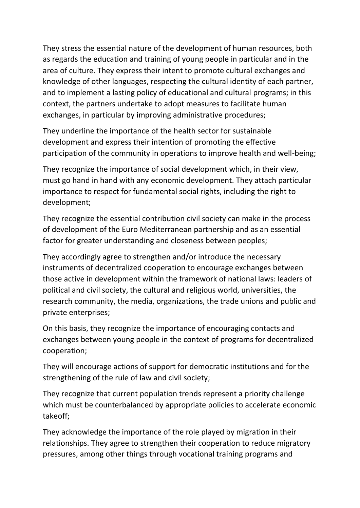They stress the essential nature of the development of human resources, both as regards the education and training of young people in particular and in the area of culture. They express their intent to promote cultural exchanges and knowledge of other languages, respecting the cultural identity of each partner, and to implement a lasting policy of educational and cultural programs; in this context, the partners undertake to adopt measures to facilitate human exchanges, in particular by improving administrative procedures;

They underline the importance of the health sector for sustainable development and express their intention of promoting the effective participation of the community in operations to improve health and well-being;

They recognize the importance of social development which, in their view, must go hand in hand with any economic development. They attach particular importance to respect for fundamental social rights, including the right to development;

They recognize the essential contribution civil society can make in the process of development of the Euro Mediterranean partnership and as an essential factor for greater understanding and closeness between peoples;

They accordingly agree to strengthen and/or introduce the necessary instruments of decentralized cooperation to encourage exchanges between those active in development within the framework of national laws: leaders of political and civil society, the cultural and religious world, universities, the research community, the media, organizations, the trade unions and public and private enterprises;

On this basis, they recognize the importance of encouraging contacts and exchanges between young people in the context of programs for decentralized cooperation;

They will encourage actions of support for democratic institutions and for the strengthening of the rule of law and civil society;

They recognize that current population trends represent a priority challenge which must be counterbalanced by appropriate policies to accelerate economic takeoff;

They acknowledge the importance of the role played by migration in their relationships. They agree to strengthen their cooperation to reduce migratory pressures, among other things through vocational training programs and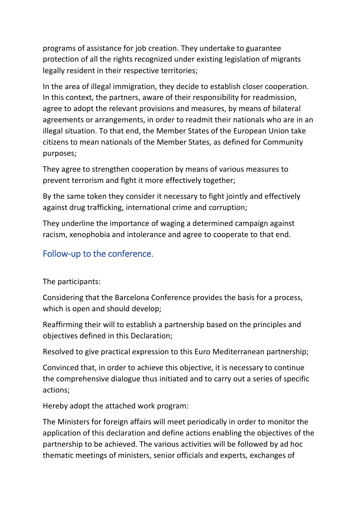programs of assistance for job creation. They undertake to guarantee protection of all the rights recognized under existing legislation of migrants legally resident in their respective territories;

In the area of illegal immigration, they decide to establish closer cooperation. In this context, the partners, aware of their responsibility for readmission, agree to adopt the relevant provisions and measures, by means of bilateral agreements or arrangements, in order to readmit their nationals who are in an illegal situation. To that end, the Member States of the European Union take citizens to mean nationals of the Member States, as defined for Community purposes;

They agree to strengthen cooperation by means of various measures to prevent terrorism and fight it more effectively together;

By the same token they consider it necessary to fight jointly and effectively against drug trafficking, international crime and corruption;

They underline the importance of waging a determined campaign against racism, xenophobia and intolerance and agree to cooperate to that end.

## Follow-up to the conference.

#### The participants:

Considering that the Barcelona Conference provides the basis for a process, which is open and should develop;

Reaffirming their will to establish a partnership based on the principles and objectives defined in this Declaration;

Resolved to give practical expression to this Euro Mediterranean partnership;

Convinced that, in order to achieve this objective, it is necessary to continue the comprehensive dialogue thus initiated and to carry out a series of specific actions;

Hereby adopt the attached work program:

The Ministers for foreign affairs will meet periodically in order to monitor the application of this declaration and define actions enabling the objectives of the partnership to be achieved. The various activities will be followed by ad hoc thematic meetings of ministers, senior officials and experts, exchanges of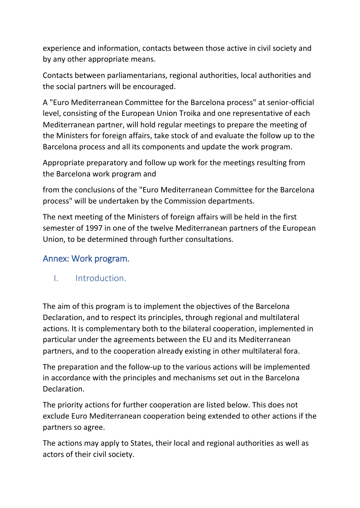experience and information, contacts between those active in civil society and by any other appropriate means.

Contacts between parliamentarians, regional authorities, local authorities and the social partners will be encouraged.

A "Euro Mediterranean Committee for the Barcelona process" at senior-official level, consisting of the European Union Troika and one representative of each Mediterranean partner, will hold regular meetings to prepare the meeting of the Ministers for foreign affairs, take stock of and evaluate the follow up to the Barcelona process and all its components and update the work program.

Appropriate preparatory and follow up work for the meetings resulting from the Barcelona work program and

from the conclusions of the "Euro Mediterranean Committee for the Barcelona process" will be undertaken by the Commission departments.

The next meeting of the Ministers of foreign affairs will be held in the first semester of 1997 in one of the twelve Mediterranean partners of the European Union, to be determined through further consultations.

## Annex: Work program.

## I. Introduction.

The aim of this program is to implement the objectives of the Barcelona Declaration, and to respect its principles, through regional and multilateral actions. It is complementary both to the bilateral cooperation, implemented in particular under the agreements between the EU and its Mediterranean partners, and to the cooperation already existing in other multilateral fora.

The preparation and the follow-up to the various actions will be implemented in accordance with the principles and mechanisms set out in the Barcelona Declaration.

The priority actions for further cooperation are listed below. This does not exclude Euro Mediterranean cooperation being extended to other actions if the partners so agree.

The actions may apply to States, their local and regional authorities as well as actors of their civil society.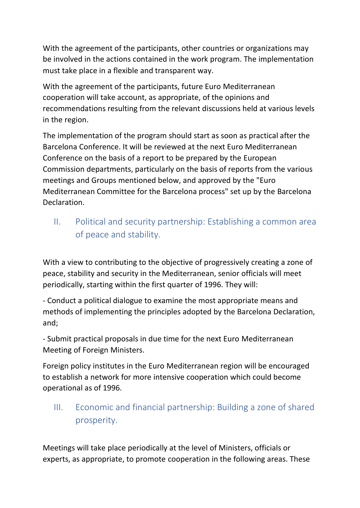With the agreement of the participants, other countries or organizations may be involved in the actions contained in the work program. The implementation must take place in a flexible and transparent way.

With the agreement of the participants, future Euro Mediterranean cooperation will take account, as appropriate, of the opinions and recommendations resulting from the relevant discussions held at various levels in the region.

The implementation of the program should start as soon as practical after the Barcelona Conference. It will be reviewed at the next Euro Mediterranean Conference on the basis of a report to be prepared by the European Commission departments, particularly on the basis of reports from the various meetings and Groups mentioned below, and approved by the "Euro Mediterranean Committee for the Barcelona process" set up by the Barcelona Declaration.

II. Political and security partnership: Establishing a common area of peace and stability.

With a view to contributing to the objective of progressively creating a zone of peace, stability and security in the Mediterranean, senior officials will meet periodically, starting within the first quarter of 1996. They will:

- Conduct a political dialogue to examine the most appropriate means and methods of implementing the principles adopted by the Barcelona Declaration, and;

- Submit practical proposals in due time for the next Euro Mediterranean Meeting of Foreign Ministers.

Foreign policy institutes in the Euro Mediterranean region will be encouraged to establish a network for more intensive cooperation which could become operational as of 1996.

# III. Economic and financial partnership: Building a zone of shared prosperity.

Meetings will take place periodically at the level of Ministers, officials or experts, as appropriate, to promote cooperation in the following areas. These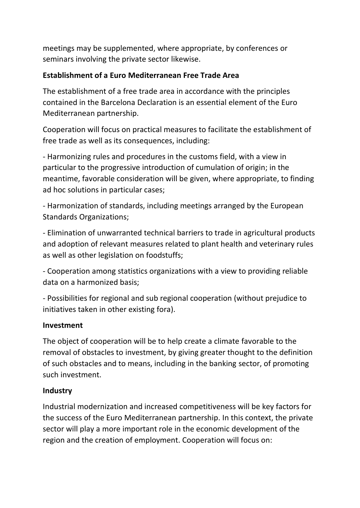meetings may be supplemented, where appropriate, by conferences or seminars involving the private sector likewise.

#### **Establishment of a Euro Mediterranean Free Trade Area**

The establishment of a free trade area in accordance with the principles contained in the Barcelona Declaration is an essential element of the Euro Mediterranean partnership.

Cooperation will focus on practical measures to facilitate the establishment of free trade as well as its consequences, including:

- Harmonizing rules and procedures in the customs field, with a view in particular to the progressive introduction of cumulation of origin; in the meantime, favorable consideration will be given, where appropriate, to finding ad hoc solutions in particular cases;

- Harmonization of standards, including meetings arranged by the European Standards Organizations;

- Elimination of unwarranted technical barriers to trade in agricultural products and adoption of relevant measures related to plant health and veterinary rules as well as other legislation on foodstuffs;

- Cooperation among statistics organizations with a view to providing reliable data on a harmonized basis;

- Possibilities for regional and sub regional cooperation (without prejudice to initiatives taken in other existing fora).

#### **Investment**

The object of cooperation will be to help create a climate favorable to the removal of obstacles to investment, by giving greater thought to the definition of such obstacles and to means, including in the banking sector, of promoting such investment.

#### **Industry**

Industrial modernization and increased competitiveness will be key factors for the success of the Euro Mediterranean partnership. In this context, the private sector will play a more important role in the economic development of the region and the creation of employment. Cooperation will focus on: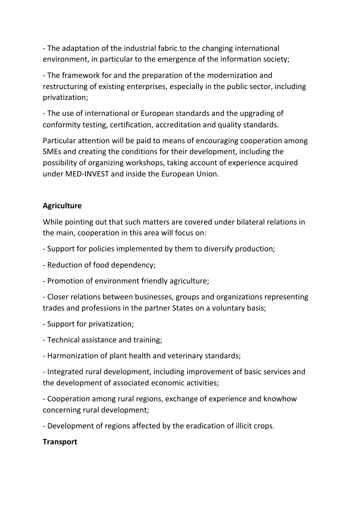- The adaptation of the industrial fabric to the changing international environment, in particular to the emergence of the information society;

- The framework for and the preparation of the modernization and restructuring of existing enterprises, especially in the public sector, including privatization;

- The use of international or European standards and the upgrading of conformity testing, certification, accreditation and quality standards.

Particular attention will be paid to means of encouraging cooperation among SMEs and creating the conditions for their development, including the possibility of organizing workshops, taking account of experience acquired under MED-INVEST and inside the European Union.

## **Agriculture**

While pointing out that such matters are covered under bilateral relations in the main, cooperation in this area will focus on:

- Support for policies implemented by them to diversify production;

- Reduction of food dependency;

- Promotion of environment friendly agriculture;

- Closer relations between businesses, groups and organizations representing trades and professions in the partner States on a voluntary basis;

- Support for privatization;

- Technical assistance and training;

- Harmonization of plant health and veterinary standards;

- Integrated rural development, including improvement of basic services and the development of associated economic activities;

- Cooperation among rural regions, exchange of experience and knowhow concerning rural development;

- Development of regions affected by the eradication of illicit crops.

#### **Transport**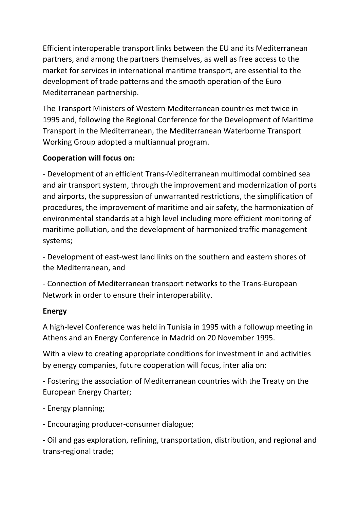Efficient interoperable transport links between the EU and its Mediterranean partners, and among the partners themselves, as well as free access to the market for services in international maritime transport, are essential to the development of trade patterns and the smooth operation of the Euro Mediterranean partnership.

The Transport Ministers of Western Mediterranean countries met twice in 1995 and, following the Regional Conference for the Development of Maritime Transport in the Mediterranean, the Mediterranean Waterborne Transport Working Group adopted a multiannual program.

## **Cooperation will focus on:**

- Development of an efficient Trans-Mediterranean multimodal combined sea and air transport system, through the improvement and modernization of ports and airports, the suppression of unwarranted restrictions, the simplification of procedures, the improvement of maritime and air safety, the harmonization of environmental standards at a high level including more efficient monitoring of maritime pollution, and the development of harmonized traffic management systems;

- Development of east-west land links on the southern and eastern shores of the Mediterranean, and

- Connection of Mediterranean transport networks to the Trans-European Network in order to ensure their interoperability.

#### **Energy**

A high-level Conference was held in Tunisia in 1995 with a followup meeting in Athens and an Energy Conference in Madrid on 20 November 1995.

With a view to creating appropriate conditions for investment in and activities by energy companies, future cooperation will focus, inter alia on:

- Fostering the association of Mediterranean countries with the Treaty on the European Energy Charter;

- Energy planning;

- Encouraging producer-consumer dialogue;

- Oil and gas exploration, refining, transportation, distribution, and regional and trans-regional trade;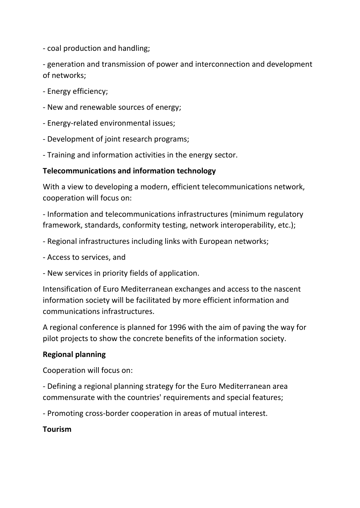- coal production and handling;

- generation and transmission of power and interconnection and development of networks;

- Energy efficiency;
- New and renewable sources of energy;
- Energy-related environmental issues;
- Development of joint research programs;
- Training and information activities in the energy sector.

#### **Telecommunications and information technology**

With a view to developing a modern, efficient telecommunications network, cooperation will focus on:

- Information and telecommunications infrastructures (minimum regulatory framework, standards, conformity testing, network interoperability, etc.);

- Regional infrastructures including links with European networks;
- Access to services, and
- New services in priority fields of application.

Intensification of Euro Mediterranean exchanges and access to the nascent information society will be facilitated by more efficient information and communications infrastructures.

A regional conference is planned for 1996 with the aim of paving the way for pilot projects to show the concrete benefits of the information society.

#### **Regional planning**

Cooperation will focus on:

- Defining a regional planning strategy for the Euro Mediterranean area commensurate with the countries' requirements and special features;

- Promoting cross-border cooperation in areas of mutual interest.

#### **Tourism**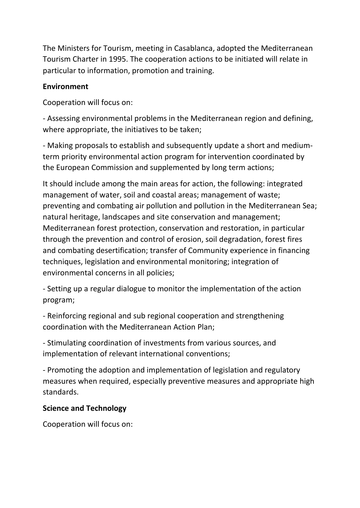The Ministers for Tourism, meeting in Casablanca, adopted the Mediterranean Tourism Charter in 1995. The cooperation actions to be initiated will relate in particular to information, promotion and training.

#### **Environment**

Cooperation will focus on:

- Assessing environmental problems in the Mediterranean region and defining, where appropriate, the initiatives to be taken;

- Making proposals to establish and subsequently update a short and mediumterm priority environmental action program for intervention coordinated by the European Commission and supplemented by long term actions;

It should include among the main areas for action, the following: integrated management of water, soil and coastal areas; management of waste; preventing and combating air pollution and pollution in the Mediterranean Sea; natural heritage, landscapes and site conservation and management; Mediterranean forest protection, conservation and restoration, in particular through the prevention and control of erosion, soil degradation, forest fires and combating desertification; transfer of Community experience in financing techniques, legislation and environmental monitoring; integration of environmental concerns in all policies;

- Setting up a regular dialogue to monitor the implementation of the action program;

- Reinforcing regional and sub regional cooperation and strengthening coordination with the Mediterranean Action Plan;

- Stimulating coordination of investments from various sources, and implementation of relevant international conventions;

- Promoting the adoption and implementation of legislation and regulatory measures when required, especially preventive measures and appropriate high standards.

#### **Science and Technology**

Cooperation will focus on: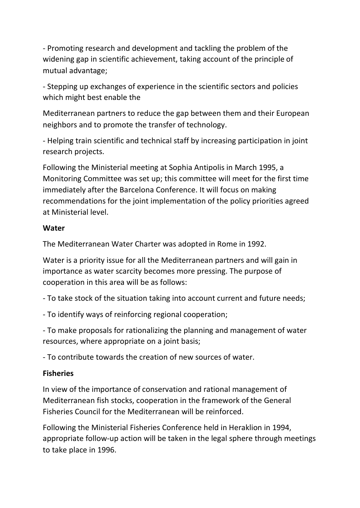- Promoting research and development and tackling the problem of the widening gap in scientific achievement, taking account of the principle of mutual advantage;

- Stepping up exchanges of experience in the scientific sectors and policies which might best enable the

Mediterranean partners to reduce the gap between them and their European neighbors and to promote the transfer of technology.

- Helping train scientific and technical staff by increasing participation in joint research projects.

Following the Ministerial meeting at Sophia Antipolis in March 1995, a Monitoring Committee was set up; this committee will meet for the first time immediately after the Barcelona Conference. It will focus on making recommendations for the joint implementation of the policy priorities agreed at Ministerial level.

#### **Water**

The Mediterranean Water Charter was adopted in Rome in 1992.

Water is a priority issue for all the Mediterranean partners and will gain in importance as water scarcity becomes more pressing. The purpose of cooperation in this area will be as follows:

- To take stock of the situation taking into account current and future needs;

- To identify ways of reinforcing regional cooperation;

- To make proposals for rationalizing the planning and management of water resources, where appropriate on a joint basis;

- To contribute towards the creation of new sources of water.

## **Fisheries**

In view of the importance of conservation and rational management of Mediterranean fish stocks, cooperation in the framework of the General Fisheries Council for the Mediterranean will be reinforced.

Following the Ministerial Fisheries Conference held in Heraklion in 1994, appropriate follow-up action will be taken in the legal sphere through meetings to take place in 1996.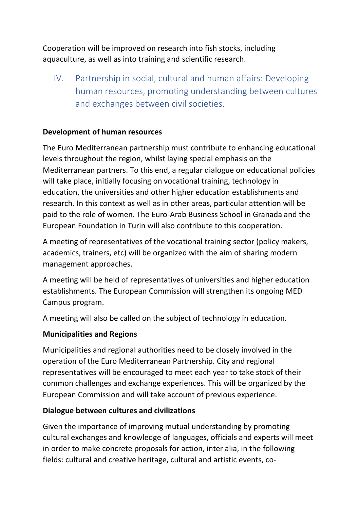Cooperation will be improved on research into fish stocks, including aquaculture, as well as into training and scientific research.

IV. Partnership in social, cultural and human affairs: Developing human resources, promoting understanding between cultures and exchanges between civil societies.

#### **Development of human resources**

The Euro Mediterranean partnership must contribute to enhancing educational levels throughout the region, whilst laying special emphasis on the Mediterranean partners. To this end, a regular dialogue on educational policies will take place, initially focusing on vocational training, technology in education, the universities and other higher education establishments and research. In this context as well as in other areas, particular attention will be paid to the role of women. The Euro-Arab Business School in Granada and the European Foundation in Turin will also contribute to this cooperation.

A meeting of representatives of the vocational training sector (policy makers, academics, trainers, etc) will be organized with the aim of sharing modern management approaches.

A meeting will be held of representatives of universities and higher education establishments. The European Commission will strengthen its ongoing MED Campus program.

A meeting will also be called on the subject of technology in education.

## **Municipalities and Regions**

Municipalities and regional authorities need to be closely involved in the operation of the Euro Mediterranean Partnership. City and regional representatives will be encouraged to meet each year to take stock of their common challenges and exchange experiences. This will be organized by the European Commission and will take account of previous experience.

## **Dialogue between cultures and civilizations**

Given the importance of improving mutual understanding by promoting cultural exchanges and knowledge of languages, officials and experts will meet in order to make concrete proposals for action, inter alia, in the following fields: cultural and creative heritage, cultural and artistic events, co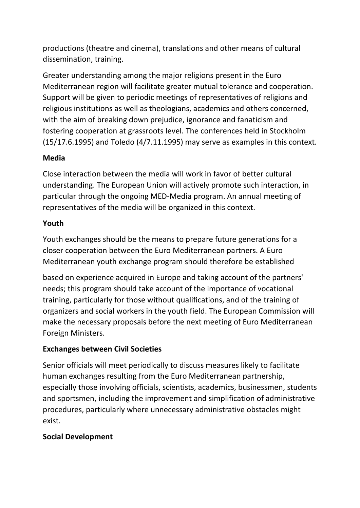productions (theatre and cinema), translations and other means of cultural dissemination, training.

Greater understanding among the major religions present in the Euro Mediterranean region will facilitate greater mutual tolerance and cooperation. Support will be given to periodic meetings of representatives of religions and religious institutions as well as theologians, academics and others concerned, with the aim of breaking down prejudice, ignorance and fanaticism and fostering cooperation at grassroots level. The conferences held in Stockholm (15/17.6.1995) and Toledo (4/7.11.1995) may serve as examples in this context.

## **Media**

Close interaction between the media will work in favor of better cultural understanding. The European Union will actively promote such interaction, in particular through the ongoing MED-Media program. An annual meeting of representatives of the media will be organized in this context.

#### **Youth**

Youth exchanges should be the means to prepare future generations for a closer cooperation between the Euro Mediterranean partners. A Euro Mediterranean youth exchange program should therefore be established

based on experience acquired in Europe and taking account of the partners' needs; this program should take account of the importance of vocational training, particularly for those without qualifications, and of the training of organizers and social workers in the youth field. The European Commission will make the necessary proposals before the next meeting of Euro Mediterranean Foreign Ministers.

#### **Exchanges between Civil Societies**

Senior officials will meet periodically to discuss measures likely to facilitate human exchanges resulting from the Euro Mediterranean partnership, especially those involving officials, scientists, academics, businessmen, students and sportsmen, including the improvement and simplification of administrative procedures, particularly where unnecessary administrative obstacles might exist.

#### **Social Development**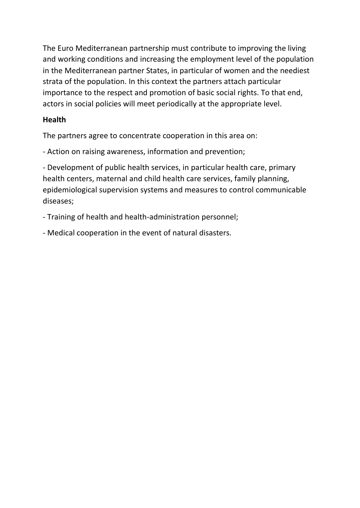The Euro Mediterranean partnership must contribute to improving the living and working conditions and increasing the employment level of the population in the Mediterranean partner States, in particular of women and the neediest strata of the population. In this context the partners attach particular importance to the respect and promotion of basic social rights. To that end, actors in social policies will meet periodically at the appropriate level.

#### **Health**

The partners agree to concentrate cooperation in this area on:

- Action on raising awareness, information and prevention;

- Development of public health services, in particular health care, primary health centers, maternal and child health care services, family planning, epidemiological supervision systems and measures to control communicable diseases;

- Training of health and health-administration personnel;

- Medical cooperation in the event of natural disasters.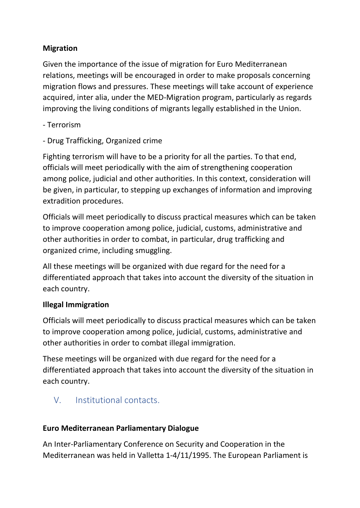## **Migration**

Given the importance of the issue of migration for Euro Mediterranean relations, meetings will be encouraged in order to make proposals concerning migration flows and pressures. These meetings will take account of experience acquired, inter alia, under the MED-Migration program, particularly as regards improving the living conditions of migrants legally established in the Union.

- Terrorism
- Drug Trafficking, Organized crime

Fighting terrorism will have to be a priority for all the parties. To that end, officials will meet periodically with the aim of strengthening cooperation among police, judicial and other authorities. In this context, consideration will be given, in particular, to stepping up exchanges of information and improving extradition procedures.

Officials will meet periodically to discuss practical measures which can be taken to improve cooperation among police, judicial, customs, administrative and other authorities in order to combat, in particular, drug trafficking and organized crime, including smuggling.

All these meetings will be organized with due regard for the need for a differentiated approach that takes into account the diversity of the situation in each country.

#### **Illegal Immigration**

Officials will meet periodically to discuss practical measures which can be taken to improve cooperation among police, judicial, customs, administrative and other authorities in order to combat illegal immigration.

These meetings will be organized with due regard for the need for a differentiated approach that takes into account the diversity of the situation in each country.

V. Institutional contacts.

#### **Euro Mediterranean Parliamentary Dialogue**

An Inter-Parliamentary Conference on Security and Cooperation in the Mediterranean was held in Valletta 1-4/11/1995. The European Parliament is